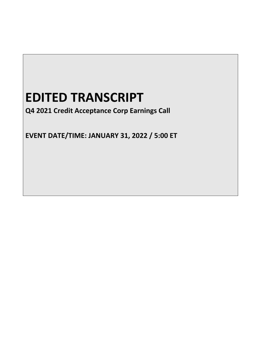# **EDITED TRANSCRIPT**

**Q4 2021 Credit Acceptance Corp Earnings Call**

**EVENT DATE/TIME: JANUARY 31, 2022 / 5:00 ET**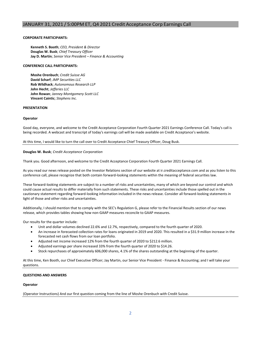# **CORPORATE PARTICIPANTS:**

**Kenneth S. Booth**; *CEO, President & Director* **Douglas W. Busk**; *Chief Treasury Officer* **Jay D. Martin**; *Senior Vice President – Finance & Accounting*

### **CONFERENCE CALL PARTICIPANTS:**

**Moshe Orenbuch**; *Credit Suisse AG* **David Scharf**; *JMP Securities LLC* **Rob Wildhack**; *Autonomous Research LLP* **John Hecht**; *Jefferies LLC* **John Rowan**; *Janney Montgomery Scott LLC* **Vincent Caintic**; *Stephens Inc.*

# **PRESENTATION**

#### **Operator**

Good day, everyone, and welcome to the Credit Acceptance Corporation Fourth Quarter 2021 Earnings Conference Call. Today's call is being recorded. A webcast and transcript of today's earnings call will be made available on Credit Acceptance's website.

At this time, I would like to turn the call over to Credit Acceptance Chief Treasury Officer, Doug Busk.

#### **Douglas W. Busk**; *Credit Acceptance Corporation*

Thank you. Good afternoon, and welcome to the Credit Acceptance Corporation Fourth Quarter 2021 Earnings Call.

As you read our news release posted on the Investor Relations section of our website at ir.creditacceptance.com and as you listen to this conference call, please recognize that both contain forward-looking statements within the meaning of federal securities law.

These forward-looking statements are subject to a number of risks and uncertainties, many of which are beyond our control and which could cause actual results to differ materially from such statements. These risks and uncertainties include those spelled out in the cautionary statement regarding forward-looking information included in the news release. Consider all forward-looking statements in light of those and other risks and uncertainties.

Additionally, I should mention that to comply with the SEC's Regulation G, please refer to the Financial Results section of our news release, which provides tables showing how non-GAAP measures reconcile to GAAP measures.

Our results for the quarter include:

- Unit and dollar volumes declined 22.6% and 12.7%, respectively, compared to the fourth quarter of 2020.
- An increase in forecasted collection rates for loans originated in 2019 and 2020. This resulted in a \$31.9 million increase in the forecasted net cash flows from our loan portfolio.
- Adjusted net income increased 12% from the fourth quarter of 2020 to \$212.6 million.
- Adjusted earnings per share increased 33% from the fourth quarter of 2020 to \$14.26.
- Stock repurchases of approximately 606,000 shares, 4.1% of the shares outstanding at the beginning of the quarter.

At this time, Ken Booth, our Chief Executive Officer; Jay Martin, our Senior Vice President - Finance & Accounting; and I will take your questions.

#### **QUESTIONS AND ANSWERS**

#### **Operator**

(Operator Instructions) And our first question coming from the line of Moshe Orenbuch with Credit Suisse.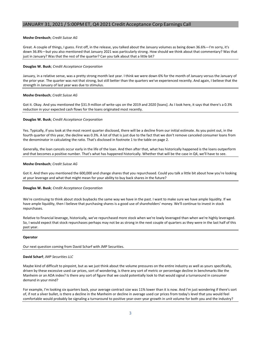# **Moshe Orenbuch**; *Credit Suisse AG*

Great. A couple of things, I guess. First off, in the release, you talked about the January volumes as being down 36.6%—I'm sorry, it's down 36.8%—but you also mentioned that January 2021 was particularly strong. How should we think about that commentary? Was that just in January? Was that the rest of the quarter? Can you talk about that a little bit?

# **Douglas W. Busk**; *Credit Acceptance Corporation*

January, in a relative sense, was a pretty strong month last year. I think we were down 6% for the month of January versus the January of the prior year. The quarter was not that strong, but still better than the quarters we've experienced recently. And again, I believe that the strength in January of last year was due to stimulus.

# **Moshe Orenbuch**; *Credit Suisse AG*

Got it. Okay. And you mentioned the \$31.9 million of write-ups on the 2019 and 2020 [loans]. As I look here, it says that there's a 0.3% reduction in your expected cash flows for the loans originated most recently.

# **Douglas W. Busk**; *Credit Acceptance Corporation*

Yes. Typically, if you look at the most recent quarter disclosed, there will be a decline from our initial estimate. As you point out, in the fourth quarter of this year, the decline was 0.3%. A lot of that is just due to the fact that we don't remove canceled consumer loans from the denominator in calculating the ratio. That's disclosed in footnote 1 to the table on page 2.

Generally, the loan cancels occur early in the life of the loan. And then after that, what has historically happened is the loans outperform and that becomes a positive number. That's what has happened historically. Whether that will be the case in Q4, we'll have to see.

# **Moshe Orenbuch**; *Credit Suisse AG*

Got it. And then you mentioned the 600,000 and change shares that you repurchased. Could you talk a little bit about how you're looking at your leverage and what that might mean for your ability to buy back shares in the future?

#### **Douglas W. Busk**; *Credit Acceptance Corporation*

We're continuing to think about stock buybacks the same way we have in the past. I want to make sure we have ample liquidity. If we have ample liquidity, then I believe that purchasing shares is a good use of shareholders' money. We'll continue to invest in stock repurchases.

Relative to financial leverage, historically, we've repurchased more stock when we're lowly leveraged than when we're highly leveraged. So, I would expect that stock repurchases perhaps may not be as strong in the next couple of quarters as they were in the last half of this past year.

#### **Operator**

Our next question coming from David Scharf with JMP Securities.

#### **David Scharf**; *JMP Securities LLC*

Maybe kind of difficult to pinpoint, but as we just think about the volume pressures on the entire industry as well as yours specifically, driven by these excessive used car prices, sort of wondering, is there any sort of metric or percentage decline in benchmarks like the Manheim or an ADA index? Is there any sort of figure that we could potentially look to that would signal a turnaround in consumer demand in your mind?

For example, I'm looking six quarters back, your average contract size was 11% lower than it is now. And I'm just wondering if there's sort of, if not a silver bullet, is there a decline in the Manheim or decline in average used car prices from today's level that you would feel comfortable would probably be signaling a turnaround to positive year-over-year growth in unit volume for both you and the industry?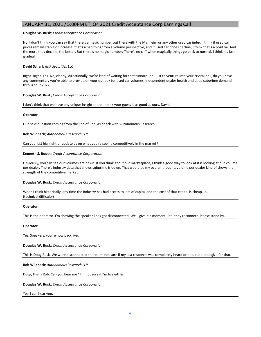# **Douglas W. Busk**; *Credit Acceptance Corporation*

No, I don't think you can say that there's a magic number out there with the Manheim or any other used car index. I think if used car prices remain stable or increase, that's a bad thing from a volume perspective, and if used car prices decline, I think that's a positive. And the more they decline, the better. But there's no magic number. There's no cliff when magically things go back to normal. I think it's just gradual.

# **David Scharf**; *JMP Securities LLC*

Right. Right. Yes. No, clearly, directionally, we're kind of waiting for that turnaround. Just to venture into your crystal ball, do you have any commentary you're able to provide on your outlook for used car volumes, independent dealer health and deep subprime demand throughout 2022?

# **Douglas W. Busk**; *Credit Acceptance Corporation*

I don't think that we have any unique insight there. I think your guess is as good as ours, David.

# **Operator**

Our next question coming from the line of Rob Wildhack with Autonomous Research.

# **Rob Wildhack**; *Autonomous Research LLP*

Can you just highlight or update us on what you're seeing competitively in the market?

# **Kenneth S. Booth**; *Credit Acceptance Corporation*

Obviously, you can see our volumes are down. If you think about our marketplace, I think a good way to look at it is looking at our volume per dealer. There's industry data that shows subprime is down. That would be my overall thought; volume per dealer kind of shows the strength of the competitive market.

#### **Douglas W. Busk**; *Credit Acceptance Corporation*

When I think historically, any time the industry has had access to lots of capital and the cost of that capital is cheap, it... (technical difficulty)

#### **Operator**

This is the operator. I'm showing the speaker lines got disconnected. We'll give it a moment until they reconnect. Please stand by.

#### **Operator**

Yes, Speakers, you're now back live.

**Douglas W. Busk**; *Credit Acceptance Corporation*

This is Doug Busk. We were disconnected there. I'm not sure if my last response was completely heard or not, but I apologize for that.

**Rob Wildhack**; *Autonomous Research LLP*

Doug, this is Rob. Can you hear me? I'm not sure if I'm live either.

**Douglas W. Busk**; *Credit Acceptance Corporation*

Yes, I can hear you.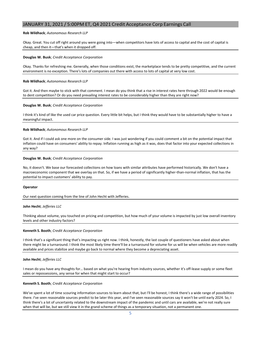# **Rob Wildhack**; *Autonomous Research LLP*

Okay. Great. You cut off right around you were going into—when competitors have lots of access to capital and the cost of capital is cheap, and then it—that's when it dropped off.

### **Douglas W. Busk**; *Credit Acceptance Corporation*

Okay. Thanks for refreshing me. Generally, when those conditions exist, the marketplace tends to be pretty competitive, and the current environment is no exception. There's lots of companies out there with access to lots of capital at very low cost.

# **Rob Wildhack**; *Autonomous Research LLP*

Got it. And then maybe to stick with that comment. I mean do you think that a rise in interest rates here through 2022 would be enough to dent competition? Or do you need prevailing interest rates to be considerably higher than they are right now?

#### **Douglas W. Busk**; *Credit Acceptance Corporation*

I think it's kind of like the used car price question. Every little bit helps, but I think they would have to be substantially higher to have a meaningful impact.

#### **Rob Wildhack**; *Autonomous Research LLP*

Got it. And if I could ask one more on the consumer side. I was just wondering if you could comment a bit on the potential impact that inflation could have on consumers' ability to repay. Inflation running as high as it was, does that factor into your expected collections in any way?

# **Douglas W. Busk**; *Credit Acceptance Corporation*

No, it doesn't. We base our forecasted collections on how loans with similar attributes have performed historically. We don't have a macroeconomic component that we overlay on that. So, if we have a period of significantly higher-than-normal inflation, that has the potential to impact customers' ability to pay.

#### **Operator**

#### Our next question coming from the line of John Hecht with Jefferies.

#### **John Hecht**; *Jefferies LLC*

Thinking about volume, you touched on pricing and competition, but how much of your volume is impacted by just low overall inventory levels and other industry factors?

#### **Kenneth S. Booth**; *Credit Acceptance Corporation*

I think that's a significant thing that's impacting us right now. I think, honestly, the last couple of questioners have asked about when there might be a turnaround. I think the most likely time there'll be a turnaround for volume for us will be when vehicles are more readily available and prices stabilize and maybe go back to normal where they become a depreciating asset.

#### **John Hecht**; *Jefferies LLC*

I mean do you have any thoughts for… based on what you're hearing from industry sources, whether it's off-lease supply or some fleet sales or repossessions, any sense for when that might start to occur?

#### **Kenneth S. Booth**; *Credit Acceptance Corporation*

We've spent a lot of time scouring information sources to learn about that, but I'll be honest, I think there's a wide range of possibilities there. I've seen reasonable sources predict to be later this year, and I've seen reasonable sources say it won't be until early 2024. So, I think there's a lot of uncertainty related to the downstream impact of the pandemic and until cars are available, we're not really sure when that will be, but we still view it in the grand scheme of things as a temporary situation, not a permanent one.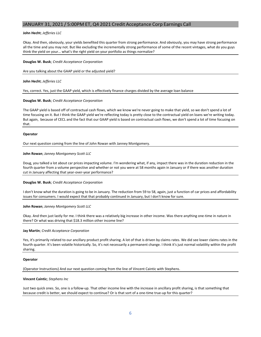# **John Hecht**; *Jefferies LLC*

Okay. And then, obviously, your yields benefited this quarter from strong performance. And obviously, you may have strong performance all the time and you may not. But like excluding the incrementally strong performance of some of the recent vintages, what do you guys think the yield on your… what's the right yield on your portfolio as things normalize?

### **Douglas W. Busk**; *Credit Acceptance Corporation*

Are you talking about the GAAP yield or the adjusted yield?

**John Hecht**; *Jefferies LLC*

Yes, correct. Yes, just the GAAP yield, which is effectively finance charges divided by the average loan balance

# **Douglas W. Busk**; *Credit Acceptance Corporation*

The GAAP yield is based off of contractual cash flows, which we know we're never going to make that yield, so we don't spend a lot of time focusing on it. But I think the GAAP yield we're reflecting today is pretty close to the contractual yield on loans we're writing today. But again, because of CECL and the fact that our GAAP yield is based on contractual cash flows, we don't spend a lot of time focusing on that.

#### **Operator**

Our next question coming from the line of John Rowan with Janney Montgomery.

#### **John Rowan**; *Janney Montgomery Scott LLC*

Doug, you talked a lot about car prices impacting volume. I'm wondering what, if any, impact there was in the duration reduction in the fourth quarter from a volume perspective and whether or not you were at 58 months again in January or if there was another duration cut in January affecting that year-over-year performance?

#### **Douglas W. Busk**; *Credit Acceptance Corporation*

I don't know what the duration is going to be in January. The reduction from 59 to 58, again, just a function of car prices and affordability issues for consumers. I would expect that that probably continued in January, but I don't know for sure.

#### **John Rowan**; *Janney Montgomery Scott LLC*

Okay. And then just lastly for me. I think there was a relatively big increase in other income. Was there anything one-time in nature in there? Or what was driving that \$18.3 million other income line?

#### **Jay Martin**; *Credit Acceptance Corporation*

Yes, it's primarily related to our ancillary product profit sharing. A lot of that is driven by claims rates. We did see lower claims rates in the fourth quarter. It's been volatile historically. So, it's not necessarily a permanent change. I think it's just normal volatility within the profit sharing.

#### **Operator**

(Operator Instructions) And our next question coming from the line of Vincent Caintic with Stephens.

#### **Vincent Caintic**; *Stephens Inc*

Just two quick ones. So, one is a follow-up. That other income line with the increase in ancillary profit sharing, is that something that because credit is better, we should expect to continue? Or is that sort of a one-time true-up for this quarter?